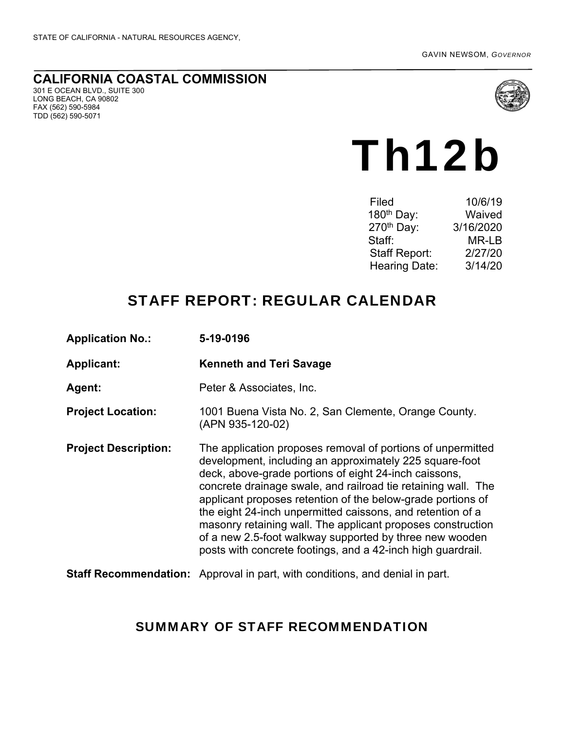#### **CALIFORNIA COASTAL COMMISSION**  301 E OCEAN BLVD., SUITE 300 LONG BEACH, CA 90802 FAX (562) 590-5984 TDD (562) 590-5071



# Th12b

| Filed                  | 10/6/19   |
|------------------------|-----------|
| 180 <sup>th</sup> Day: | Waived    |
| 270 <sup>th</sup> Day: | 3/16/2020 |
| Staff:                 | MR-LB     |
| <b>Staff Report:</b>   | 2/27/20   |
| <b>Hearing Date:</b>   | 3/14/20   |

# STAFF REPORT: REGULAR CALENDAR

| <b>Application No.:</b>     | 5-19-0196                                                                                                                                                                                                                                                                                                                                                                                                                                                                                                                                                              |
|-----------------------------|------------------------------------------------------------------------------------------------------------------------------------------------------------------------------------------------------------------------------------------------------------------------------------------------------------------------------------------------------------------------------------------------------------------------------------------------------------------------------------------------------------------------------------------------------------------------|
| <b>Applicant:</b>           | <b>Kenneth and Teri Savage</b>                                                                                                                                                                                                                                                                                                                                                                                                                                                                                                                                         |
| Agent:                      | Peter & Associates, Inc.                                                                                                                                                                                                                                                                                                                                                                                                                                                                                                                                               |
| <b>Project Location:</b>    | 1001 Buena Vista No. 2, San Clemente, Orange County.<br>(APN 935-120-02)                                                                                                                                                                                                                                                                                                                                                                                                                                                                                               |
| <b>Project Description:</b> | The application proposes removal of portions of unpermitted<br>development, including an approximately 225 square-foot<br>deck, above-grade portions of eight 24-inch caissons,<br>concrete drainage swale, and railroad tie retaining wall. The<br>applicant proposes retention of the below-grade portions of<br>the eight 24-inch unpermitted caissons, and retention of a<br>masonry retaining wall. The applicant proposes construction<br>of a new 2.5-foot walkway supported by three new wooden<br>posts with concrete footings, and a 42-inch high guardrail. |
|                             | <b>Staff Recommendation:</b> Approval in part, with conditions, and denial in part.                                                                                                                                                                                                                                                                                                                                                                                                                                                                                    |

## SUMMARY OF STAFF RECOMMENDATION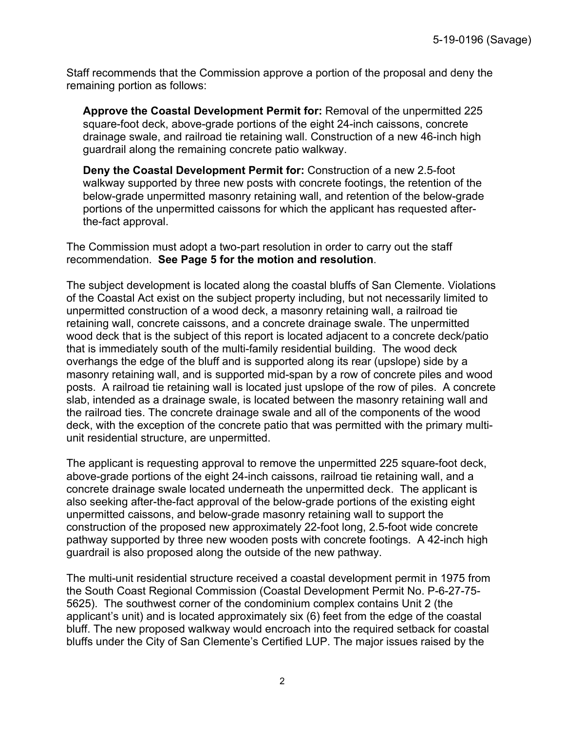Staff recommends that the Commission approve a portion of the proposal and deny the remaining portion as follows:

**Approve the Coastal Development Permit for:** Removal of the unpermitted 225 square-foot deck, above-grade portions of the eight 24-inch caissons, concrete drainage swale, and railroad tie retaining wall. Construction of a new 46-inch high guardrail along the remaining concrete patio walkway.

**Deny the Coastal Development Permit for:** Construction of a new 2.5-foot walkway supported by three new posts with concrete footings, the retention of the below-grade unpermitted masonry retaining wall, and retention of the below-grade portions of the unpermitted caissons for which the applicant has requested afterthe-fact approval.

The Commission must adopt a two-part resolution in order to carry out the staff recommendation. **See Page 5 for the motion and resolution**.

The subject development is located along the coastal bluffs of San Clemente. Violations of the Coastal Act exist on the subject property including, but not necessarily limited to unpermitted construction of a wood deck, a masonry retaining wall, a railroad tie retaining wall, concrete caissons, and a concrete drainage swale. The unpermitted wood deck that is the subject of this report is located adjacent to a concrete deck/patio that is immediately south of the multi-family residential building. The wood deck overhangs the edge of the bluff and is supported along its rear (upslope) side by a masonry retaining wall, and is supported mid-span by a row of concrete piles and wood posts. A railroad tie retaining wall is located just upslope of the row of piles. A concrete slab, intended as a drainage swale, is located between the masonry retaining wall and the railroad ties. The concrete drainage swale and all of the components of the wood deck, with the exception of the concrete patio that was permitted with the primary multiunit residential structure, are unpermitted.

The applicant is requesting approval to remove the unpermitted 225 square-foot deck, above-grade portions of the eight 24-inch caissons, railroad tie retaining wall, and a concrete drainage swale located underneath the unpermitted deck. The applicant is also seeking after-the-fact approval of the below-grade portions of the existing eight unpermitted caissons, and below-grade masonry retaining wall to support the construction of the proposed new approximately 22-foot long, 2.5-foot wide concrete pathway supported by three new wooden posts with concrete footings. A 42-inch high guardrail is also proposed along the outside of the new pathway.

The multi-unit residential structure received a coastal development permit in 1975 from the South Coast Regional Commission (Coastal Development Permit No. P-6-27-75- 5625). The southwest corner of the condominium complex contains Unit 2 (the applicant's unit) and is located approximately six (6) feet from the edge of the coastal bluff. The new proposed walkway would encroach into the required setback for coastal bluffs under the City of San Clemente's Certified LUP. The major issues raised by the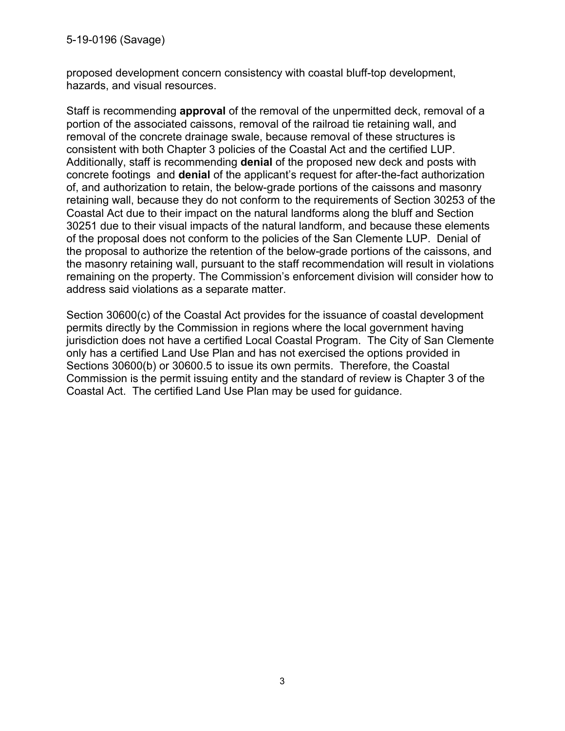5-19-0196 (Savage)

proposed development concern consistency with coastal bluff-top development, hazards, and visual resources.

Staff is recommending **approval** of the removal of the unpermitted deck, removal of a portion of the associated caissons, removal of the railroad tie retaining wall, and removal of the concrete drainage swale, because removal of these structures is consistent with both Chapter 3 policies of the Coastal Act and the certified LUP. Additionally, staff is recommending **denial** of the proposed new deck and posts with concrete footings and **denial** of the applicant's request for after-the-fact authorization of, and authorization to retain, the below-grade portions of the caissons and masonry retaining wall, because they do not conform to the requirements of Section 30253 of the Coastal Act due to their impact on the natural landforms along the bluff and Section 30251 due to their visual impacts of the natural landform, and because these elements of the proposal does not conform to the policies of the San Clemente LUP. Denial of the proposal to authorize the retention of the below-grade portions of the caissons, and the masonry retaining wall, pursuant to the staff recommendation will result in violations remaining on the property. The Commission's enforcement division will consider how to address said violations as a separate matter.

Section 30600(c) of the Coastal Act provides for the issuance of coastal development permits directly by the Commission in regions where the local government having jurisdiction does not have a certified Local Coastal Program. The City of San Clemente only has a certified Land Use Plan and has not exercised the options provided in Sections 30600(b) or 30600.5 to issue its own permits. Therefore, the Coastal Commission is the permit issuing entity and the standard of review is Chapter 3 of the Coastal Act. The certified Land Use Plan may be used for guidance.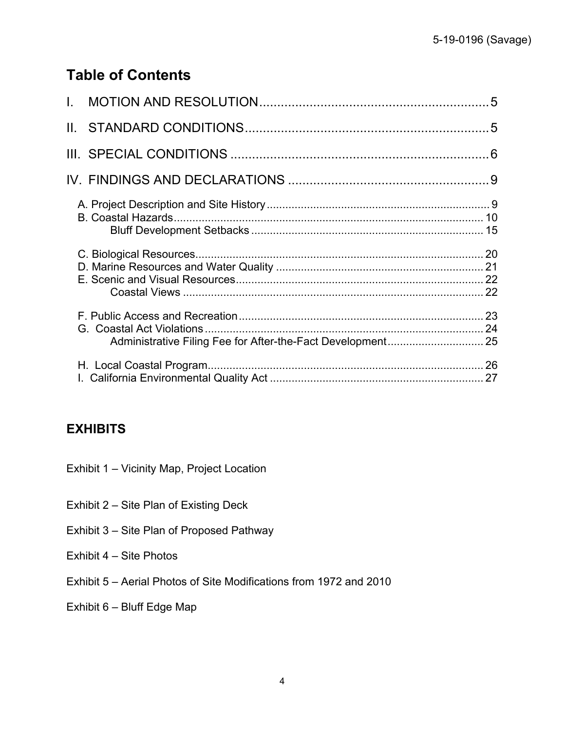# **Table of Contents**

## **EXHIBITS**

- Exhibit 1 Vicinity Map, Project Location
- Exhibit 2 Site Plan of Existing Deck
- Exhibit 3 Site Plan of Proposed Pathway
- Exhibit 4 Site Photos
- Exhibit 5 Aerial Photos of Site Modifications from 1972 and 2010
- Exhibit 6 Bluff Edge Map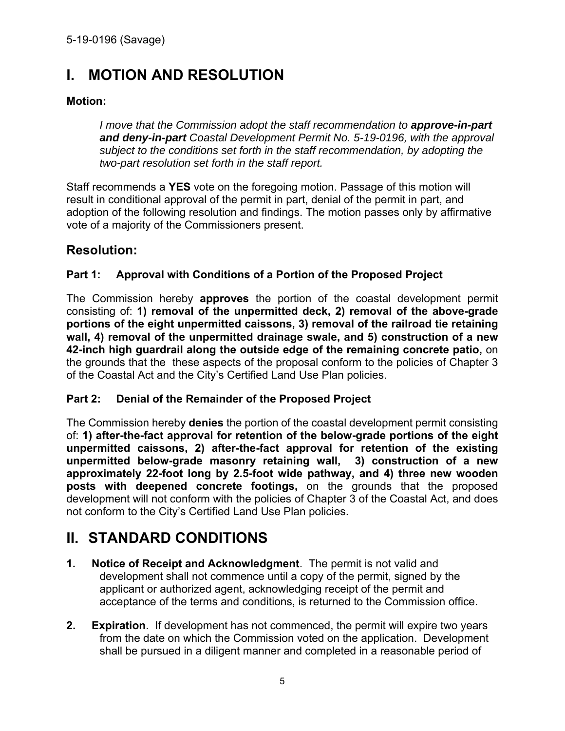# **I. MOTION AND RESOLUTION**

#### **Motion:**

*I move that the Commission adopt the staff recommendation to approve-in-part and deny-in-part Coastal Development Permit No. 5-19-0196, with the approval subject to the conditions set forth in the staff recommendation, by adopting the two-part resolution set forth in the staff report.* 

Staff recommends a **YES** vote on the foregoing motion. Passage of this motion will result in conditional approval of the permit in part, denial of the permit in part, and adoption of the following resolution and findings. The motion passes only by affirmative vote of a majority of the Commissioners present.

## **Resolution:**

#### **Part 1: Approval with Conditions of a Portion of the Proposed Project**

The Commission hereby **approves** the portion of the coastal development permit consisting of: **1) removal of the unpermitted deck, 2) removal of the above-grade portions of the eight unpermitted caissons, 3) removal of the railroad tie retaining wall, 4) removal of the unpermitted drainage swale, and 5) construction of a new 42-inch high guardrail along the outside edge of the remaining concrete patio,** on the grounds that the these aspects of the proposal conform to the policies of Chapter 3 of the Coastal Act and the City's Certified Land Use Plan policies.

#### **Part 2: Denial of the Remainder of the Proposed Project**

The Commission hereby **denies** the portion of the coastal development permit consisting of: **1) after-the-fact approval for retention of the below-grade portions of the eight unpermitted caissons, 2) after-the-fact approval for retention of the existing unpermitted below-grade masonry retaining wall, 3) construction of a new approximately 22-foot long by 2.5-foot wide pathway, and 4) three new wooden posts with deepened concrete footings,** on the grounds that the proposed development will not conform with the policies of Chapter 3 of the Coastal Act, and does not conform to the City's Certified Land Use Plan policies.

# **II. STANDARD CONDITIONS**

- **1. Notice of Receipt and Acknowledgment**. The permit is not valid and development shall not commence until a copy of the permit, signed by the applicant or authorized agent, acknowledging receipt of the permit and acceptance of the terms and conditions, is returned to the Commission office.
- **2. Expiration**. If development has not commenced, the permit will expire two years from the date on which the Commission voted on the application. Development shall be pursued in a diligent manner and completed in a reasonable period of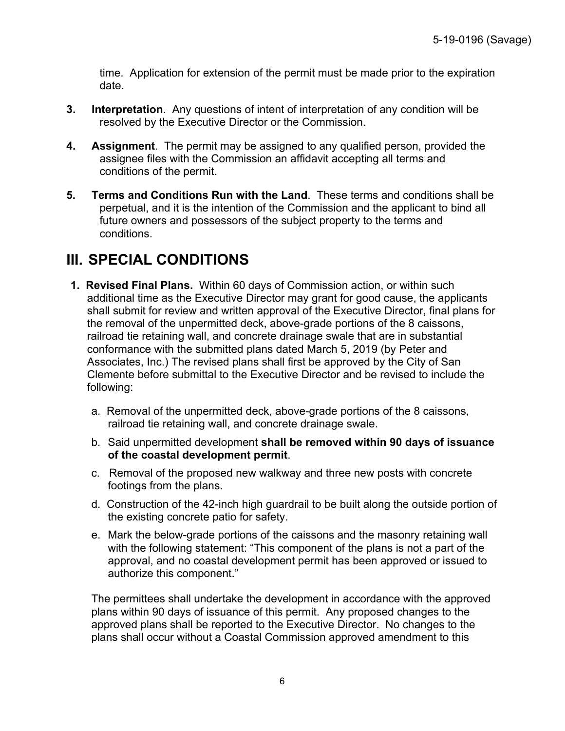time. Application for extension of the permit must be made prior to the expiration date.

- **3. Interpretation**. Any questions of intent of interpretation of any condition will be resolved by the Executive Director or the Commission.
- **4. Assignment**. The permit may be assigned to any qualified person, provided the assignee files with the Commission an affidavit accepting all terms and conditions of the permit.
- **5. Terms and Conditions Run with the Land**. These terms and conditions shall be perpetual, and it is the intention of the Commission and the applicant to bind all future owners and possessors of the subject property to the terms and conditions.

## **III. SPECIAL CONDITIONS**

- **1. Revised Final Plans.** Within 60 days of Commission action, or within such additional time as the Executive Director may grant for good cause, the applicants shall submit for review and written approval of the Executive Director, final plans for the removal of the unpermitted deck, above-grade portions of the 8 caissons, railroad tie retaining wall, and concrete drainage swale that are in substantial conformance with the submitted plans dated March 5, 2019 (by Peter and Associates, Inc.) The revised plans shall first be approved by the City of San Clemente before submittal to the Executive Director and be revised to include the following:
	- a. Removal of the unpermitted deck, above-grade portions of the 8 caissons, railroad tie retaining wall, and concrete drainage swale.
	- b. Said unpermitted development **shall be removed within 90 days of issuance of the coastal development permit**.
	- c. Removal of the proposed new walkway and three new posts with concrete footings from the plans.
	- d. Construction of the 42-inch high guardrail to be built along the outside portion of the existing concrete patio for safety.
	- e. Mark the below-grade portions of the caissons and the masonry retaining wall with the following statement: "This component of the plans is not a part of the approval, and no coastal development permit has been approved or issued to authorize this component."

The permittees shall undertake the development in accordance with the approved plans within 90 days of issuance of this permit. Any proposed changes to the approved plans shall be reported to the Executive Director. No changes to the plans shall occur without a Coastal Commission approved amendment to this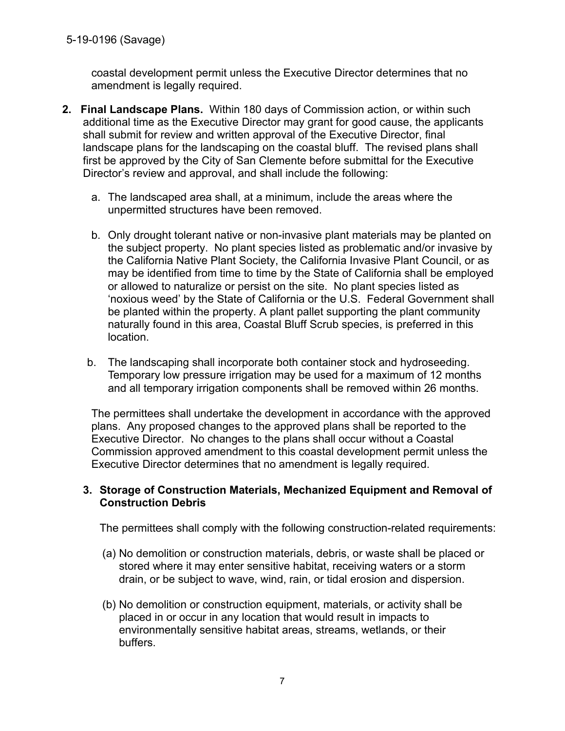coastal development permit unless the Executive Director determines that no amendment is legally required.

- **2. Final Landscape Plans.** Within 180 days of Commission action, or within such additional time as the Executive Director may grant for good cause, the applicants shall submit for review and written approval of the Executive Director, final landscape plans for the landscaping on the coastal bluff. The revised plans shall first be approved by the City of San Clemente before submittal for the Executive Director's review and approval, and shall include the following:
	- a. The landscaped area shall, at a minimum, include the areas where the unpermitted structures have been removed.
	- b. Only drought tolerant native or non-invasive plant materials may be planted on the subject property. No plant species listed as problematic and/or invasive by the California Native Plant Society, the California Invasive Plant Council, or as may be identified from time to time by the State of California shall be employed or allowed to naturalize or persist on the site. No plant species listed as 'noxious weed' by the State of California or the U.S. Federal Government shall be planted within the property. A plant pallet supporting the plant community naturally found in this area, Coastal Bluff Scrub species, is preferred in this location.
	- b. The landscaping shall incorporate both container stock and hydroseeding. Temporary low pressure irrigation may be used for a maximum of 12 months and all temporary irrigation components shall be removed within 26 months.

The permittees shall undertake the development in accordance with the approved plans. Any proposed changes to the approved plans shall be reported to the Executive Director. No changes to the plans shall occur without a Coastal Commission approved amendment to this coastal development permit unless the Executive Director determines that no amendment is legally required.

#### **3. Storage of Construction Materials, Mechanized Equipment and Removal of Construction Debris**

The permittees shall comply with the following construction-related requirements:

- (a) No demolition or construction materials, debris, or waste shall be placed or stored where it may enter sensitive habitat, receiving waters or a storm drain, or be subject to wave, wind, rain, or tidal erosion and dispersion.
- (b) No demolition or construction equipment, materials, or activity shall be placed in or occur in any location that would result in impacts to environmentally sensitive habitat areas, streams, wetlands, or their buffers.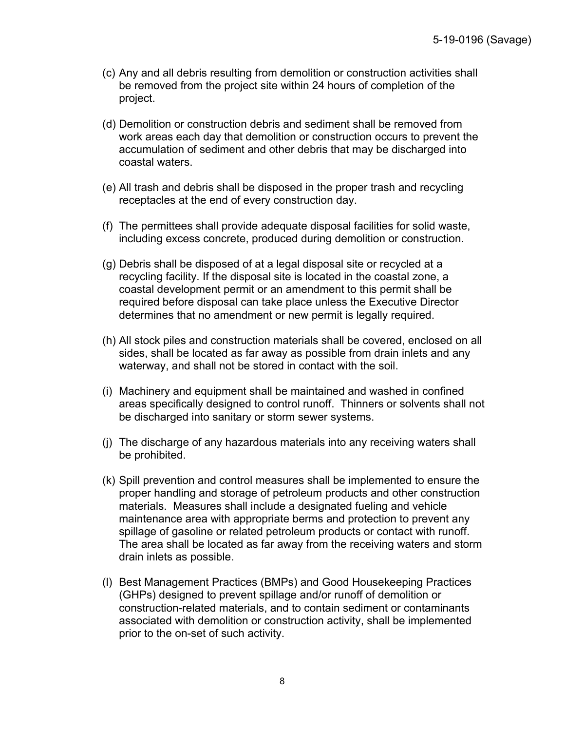- (c) Any and all debris resulting from demolition or construction activities shall be removed from the project site within 24 hours of completion of the project.
- (d) Demolition or construction debris and sediment shall be removed from work areas each day that demolition or construction occurs to prevent the accumulation of sediment and other debris that may be discharged into coastal waters.
- (e) All trash and debris shall be disposed in the proper trash and recycling receptacles at the end of every construction day.
- (f) The permittees shall provide adequate disposal facilities for solid waste, including excess concrete, produced during demolition or construction.
- (g) Debris shall be disposed of at a legal disposal site or recycled at a recycling facility. If the disposal site is located in the coastal zone, a coastal development permit or an amendment to this permit shall be required before disposal can take place unless the Executive Director determines that no amendment or new permit is legally required.
- (h) All stock piles and construction materials shall be covered, enclosed on all sides, shall be located as far away as possible from drain inlets and any waterway, and shall not be stored in contact with the soil.
- (i) Machinery and equipment shall be maintained and washed in confined areas specifically designed to control runoff. Thinners or solvents shall not be discharged into sanitary or storm sewer systems.
- (j) The discharge of any hazardous materials into any receiving waters shall be prohibited.
- (k) Spill prevention and control measures shall be implemented to ensure the proper handling and storage of petroleum products and other construction materials. Measures shall include a designated fueling and vehicle maintenance area with appropriate berms and protection to prevent any spillage of gasoline or related petroleum products or contact with runoff. The area shall be located as far away from the receiving waters and storm drain inlets as possible.
- (l) Best Management Practices (BMPs) and Good Housekeeping Practices (GHPs) designed to prevent spillage and/or runoff of demolition or construction-related materials, and to contain sediment or contaminants associated with demolition or construction activity, shall be implemented prior to the on-set of such activity.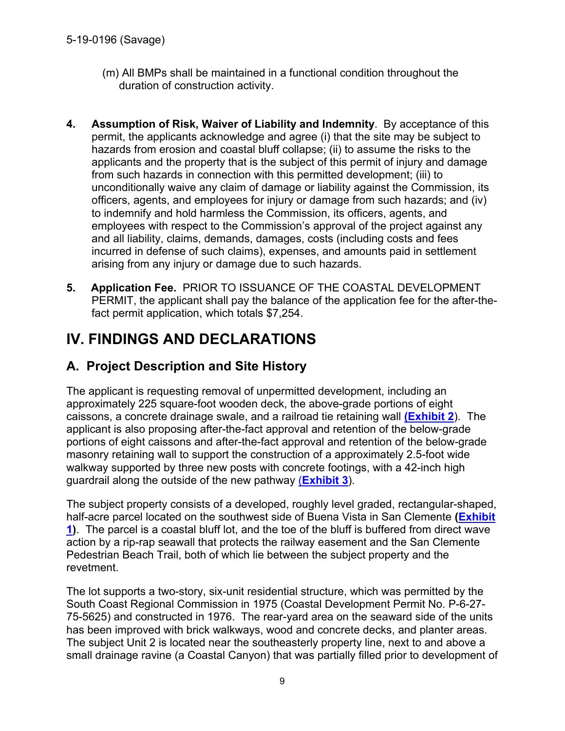- (m) All BMPs shall be maintained in a functional condition throughout the duration of construction activity.
- **4. Assumption of Risk, Waiver of Liability and Indemnity**. By acceptance of this permit, the applicants acknowledge and agree (i) that the site may be subject to hazards from erosion and coastal bluff collapse; (ii) to assume the risks to the applicants and the property that is the subject of this permit of injury and damage from such hazards in connection with this permitted development; (iii) to unconditionally waive any claim of damage or liability against the Commission, its officers, agents, and employees for injury or damage from such hazards; and (iv) to indemnify and hold harmless the Commission, its officers, agents, and employees with respect to the Commission's approval of the project against any and all liability, claims, demands, damages, costs (including costs and fees incurred in defense of such claims), expenses, and amounts paid in settlement arising from any injury or damage due to such hazards.
- **5. Application Fee.** PRIOR TO ISSUANCE OF THE COASTAL DEVELOPMENT PERMIT, the applicant shall pay the balance of the application fee for the after-thefact permit application, which totals \$7,254.

# **IV. FINDINGS AND DECLARATIONS**

## **A. Project Description and Site History**

The applicant is requesting removal of unpermitted development, including an approximately 225 square-foot wooden deck, the above-grade portions of eight caissons, a concrete drainage swale, and a railroad tie retaining wall **(Exhibit 2**). The applicant is also proposing after-the-fact approval and retention of the below-grade portions of eight caissons and after-the-fact approval and retention of the below-grade masonry retaining wall to support the construction of a approximately 2.5-foot wide walkway supported by three new posts with concrete footings, with a 42-inch high guardrail along the outside of the new pathway (**Exhibit 3**).

The subject property consists of a developed, roughly level graded, rectangular-shaped, half-acre parcel located on the southwest side of Buena Vista in San Clemente **(Exhibit 1)**. The parcel is a coastal bluff lot, and the toe of the bluff is buffered from direct wave action by a rip-rap seawall that protects the railway easement and the San Clemente Pedestrian Beach Trail, both of which lie between the subject property and the revetment.

The lot supports a two-story, six-unit residential structure, which was permitted by the South Coast Regional Commission in 1975 (Coastal Development Permit No. P-6-27- 75-5625) and constructed in 1976. The rear-yard area on the seaward side of the units has been improved with brick walkways, wood and concrete decks, and planter areas. The subject Unit 2 is located near the southeasterly property line, next to and above a small drainage ravine (a Coastal Canyon) that was partially filled prior to development of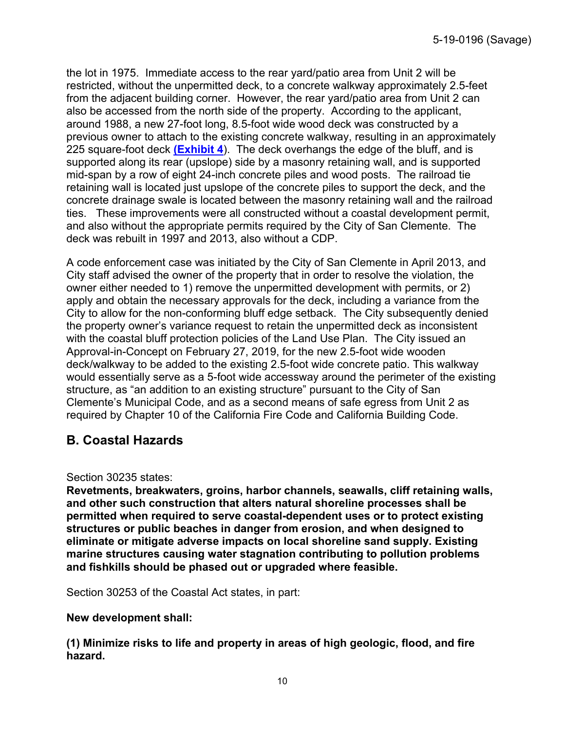the lot in 1975. Immediate access to the rear yard/patio area from Unit 2 will be restricted, without the unpermitted deck, to a concrete walkway approximately 2.5-feet from the adjacent building corner. However, the rear yard/patio area from Unit 2 can also be accessed from the north side of the property. According to the applicant, around 1988, a new 27-foot long, 8.5-foot wide wood deck was constructed by a previous owner to attach to the existing concrete walkway, resulting in an approximately 225 square-foot deck **(Exhibit 4**). The deck overhangs the edge of the bluff, and is supported along its rear (upslope) side by a masonry retaining wall, and is supported mid-span by a row of eight 24-inch concrete piles and wood posts. The railroad tie retaining wall is located just upslope of the concrete piles to support the deck, and the concrete drainage swale is located between the masonry retaining wall and the railroad ties. These improvements were all constructed without a coastal development permit, and also without the appropriate permits required by the City of San Clemente. The deck was rebuilt in 1997 and 2013, also without a CDP.

A code enforcement case was initiated by the City of San Clemente in April 2013, and City staff advised the owner of the property that in order to resolve the violation, the owner either needed to 1) remove the unpermitted development with permits, or 2) apply and obtain the necessary approvals for the deck, including a variance from the City to allow for the non-conforming bluff edge setback. The City subsequently denied the property owner's variance request to retain the unpermitted deck as inconsistent with the coastal bluff protection policies of the Land Use Plan. The City issued an Approval-in-Concept on February 27, 2019, for the new 2.5-foot wide wooden deck/walkway to be added to the existing 2.5-foot wide concrete patio. This walkway would essentially serve as a 5-foot wide accessway around the perimeter of the existing structure, as "an addition to an existing structure" pursuant to the City of San Clemente's Municipal Code, and as a second means of safe egress from Unit 2 as required by Chapter 10 of the California Fire Code and California Building Code.

## **B. Coastal Hazards**

#### Section 30235 states:

**Revetments, breakwaters, groins, harbor channels, seawalls, cliff retaining walls, and other such construction that alters natural shoreline processes shall be permitted when required to serve coastal-dependent uses or to protect existing structures or public beaches in danger from erosion, and when designed to eliminate or mitigate adverse impacts on local shoreline sand supply. Existing marine structures causing water stagnation contributing to pollution problems and fishkills should be phased out or upgraded where feasible.** 

Section 30253 of the Coastal Act states, in part:

#### **New development shall:**

**(1) Minimize risks to life and property in areas of high geologic, flood, and fire hazard.**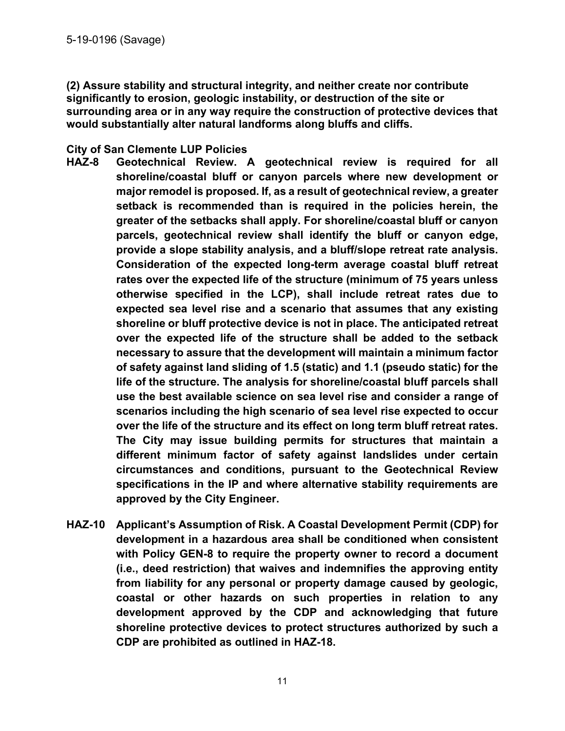**(2) Assure stability and structural integrity, and neither create nor contribute significantly to erosion, geologic instability, or destruction of the site or surrounding area or in any way require the construction of protective devices that would substantially alter natural landforms along bluffs and cliffs.** 

#### **City of San Clemente LUP Policies**

- **HAZ-8 Geotechnical Review. A geotechnical review is required for all shoreline/coastal bluff or canyon parcels where new development or major remodel is proposed. If, as a result of geotechnical review, a greater setback is recommended than is required in the policies herein, the greater of the setbacks shall apply. For shoreline/coastal bluff or canyon parcels, geotechnical review shall identify the bluff or canyon edge, provide a slope stability analysis, and a bluff/slope retreat rate analysis. Consideration of the expected long-term average coastal bluff retreat rates over the expected life of the structure (minimum of 75 years unless otherwise specified in the LCP), shall include retreat rates due to expected sea level rise and a scenario that assumes that any existing shoreline or bluff protective device is not in place. The anticipated retreat over the expected life of the structure shall be added to the setback necessary to assure that the development will maintain a minimum factor of safety against land sliding of 1.5 (static) and 1.1 (pseudo static) for the life of the structure. The analysis for shoreline/coastal bluff parcels shall use the best available science on sea level rise and consider a range of scenarios including the high scenario of sea level rise expected to occur over the life of the structure and its effect on long term bluff retreat rates. The City may issue building permits for structures that maintain a different minimum factor of safety against landslides under certain circumstances and conditions, pursuant to the Geotechnical Review specifications in the IP and where alternative stability requirements are approved by the City Engineer.**
- **HAZ-10 Applicant's Assumption of Risk. A Coastal Development Permit (CDP) for development in a hazardous area shall be conditioned when consistent with Policy GEN-8 to require the property owner to record a document (i.e., deed restriction) that waives and indemnifies the approving entity from liability for any personal or property damage caused by geologic, coastal or other hazards on such properties in relation to any development approved by the CDP and acknowledging that future shoreline protective devices to protect structures authorized by such a CDP are prohibited as outlined in HAZ-18.**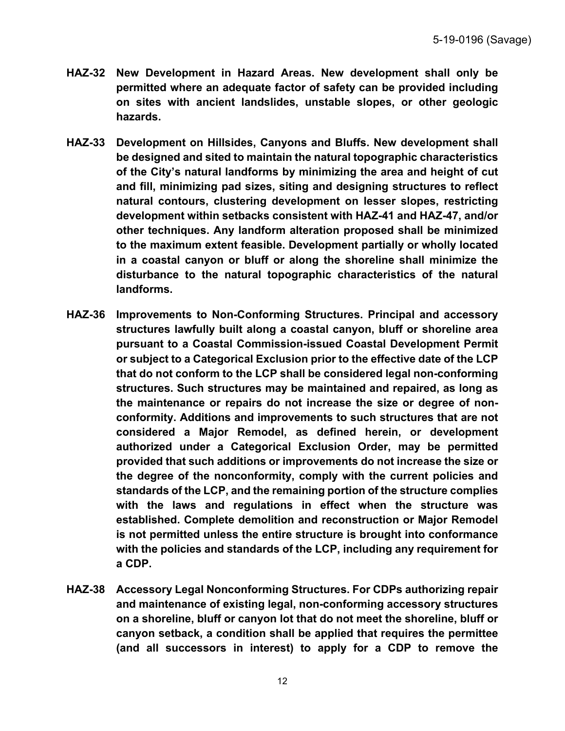- **HAZ-32 New Development in Hazard Areas. New development shall only be permitted where an adequate factor of safety can be provided including on sites with ancient landslides, unstable slopes, or other geologic hazards.**
- **HAZ-33 Development on Hillsides, Canyons and Bluffs. New development shall be designed and sited to maintain the natural topographic characteristics of the City's natural landforms by minimizing the area and height of cut and fill, minimizing pad sizes, siting and designing structures to reflect natural contours, clustering development on lesser slopes, restricting development within setbacks consistent with HAZ-41 and HAZ-47, and/or other techniques. Any landform alteration proposed shall be minimized to the maximum extent feasible. Development partially or wholly located in a coastal canyon or bluff or along the shoreline shall minimize the disturbance to the natural topographic characteristics of the natural landforms.**
- **HAZ-36 Improvements to Non-Conforming Structures. Principal and accessory structures lawfully built along a coastal canyon, bluff or shoreline area pursuant to a Coastal Commission-issued Coastal Development Permit or subject to a Categorical Exclusion prior to the effective date of the LCP that do not conform to the LCP shall be considered legal non-conforming structures. Such structures may be maintained and repaired, as long as the maintenance or repairs do not increase the size or degree of nonconformity. Additions and improvements to such structures that are not considered a Major Remodel, as defined herein, or development authorized under a Categorical Exclusion Order, may be permitted provided that such additions or improvements do not increase the size or the degree of the nonconformity, comply with the current policies and standards of the LCP, and the remaining portion of the structure complies with the laws and regulations in effect when the structure was established. Complete demolition and reconstruction or Major Remodel is not permitted unless the entire structure is brought into conformance with the policies and standards of the LCP, including any requirement for a CDP.**
- **HAZ-38 Accessory Legal Nonconforming Structures. For CDPs authorizing repair and maintenance of existing legal, non-conforming accessory structures on a shoreline, bluff or canyon lot that do not meet the shoreline, bluff or canyon setback, a condition shall be applied that requires the permittee (and all successors in interest) to apply for a CDP to remove the**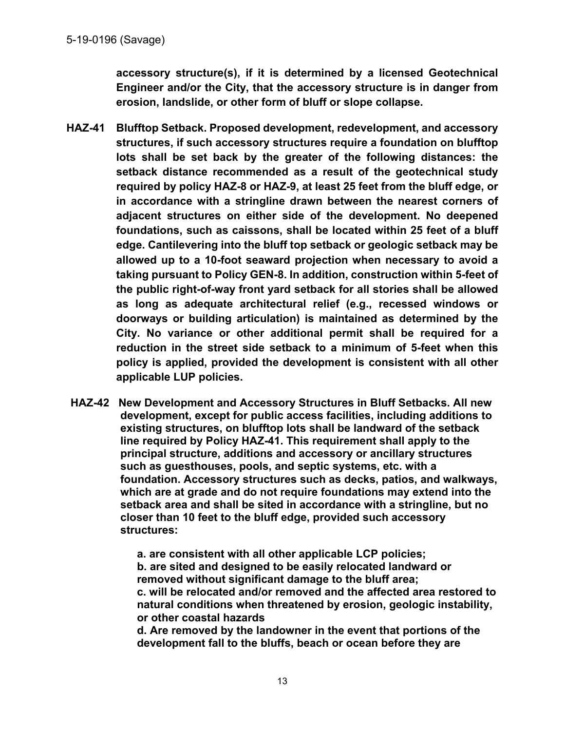**accessory structure(s), if it is determined by a licensed Geotechnical Engineer and/or the City, that the accessory structure is in danger from erosion, landslide, or other form of bluff or slope collapse.** 

- **HAZ-41 Blufftop Setback. Proposed development, redevelopment, and accessory structures, if such accessory structures require a foundation on blufftop lots shall be set back by the greater of the following distances: the setback distance recommended as a result of the geotechnical study required by policy HAZ-8 or HAZ-9, at least 25 feet from the bluff edge, or in accordance with a stringline drawn between the nearest corners of adjacent structures on either side of the development. No deepened foundations, such as caissons, shall be located within 25 feet of a bluff edge. Cantilevering into the bluff top setback or geologic setback may be allowed up to a 10-foot seaward projection when necessary to avoid a taking pursuant to Policy GEN-8. In addition, construction within 5-feet of the public right-of-way front yard setback for all stories shall be allowed as long as adequate architectural relief (e.g., recessed windows or doorways or building articulation) is maintained as determined by the City. No variance or other additional permit shall be required for a reduction in the street side setback to a minimum of 5-feet when this policy is applied, provided the development is consistent with all other applicable LUP policies.**
- **HAZ-42 New Development and Accessory Structures in Bluff Setbacks. All new development, except for public access facilities, including additions to existing structures, on blufftop lots shall be landward of the setback line required by Policy HAZ-41. This requirement shall apply to the principal structure, additions and accessory or ancillary structures such as guesthouses, pools, and septic systems, etc. with a foundation. Accessory structures such as decks, patios, and walkways, which are at grade and do not require foundations may extend into the setback area and shall be sited in accordance with a stringline, but no closer than 10 feet to the bluff edge, provided such accessory structures:**

**a. are consistent with all other applicable LCP policies; b. are sited and designed to be easily relocated landward or removed without significant damage to the bluff area; c. will be relocated and/or removed and the affected area restored to natural conditions when threatened by erosion, geologic instability, or other coastal hazards** 

**d. Are removed by the landowner in the event that portions of the development fall to the bluffs, beach or ocean before they are**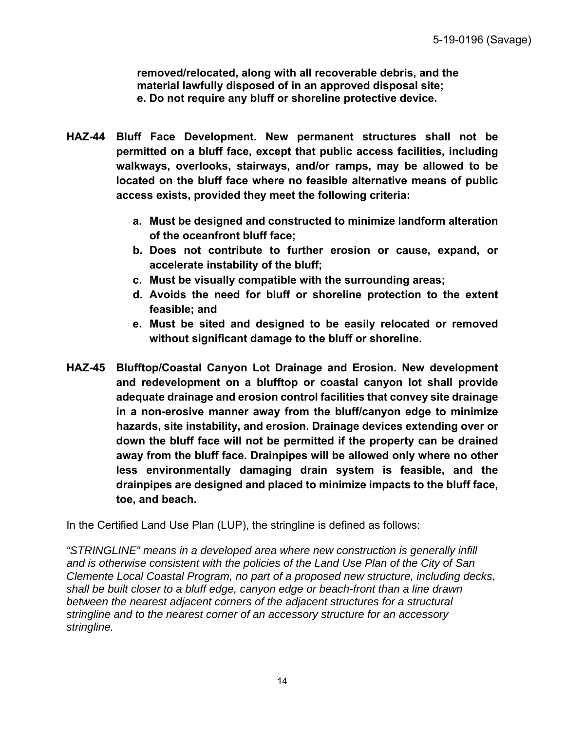**removed/relocated, along with all recoverable debris, and the material lawfully disposed of in an approved disposal site; e. Do not require any bluff or shoreline protective device.** 

- **HAZ-44 Bluff Face Development. New permanent structures shall not be permitted on a bluff face, except that public access facilities, including walkways, overlooks, stairways, and/or ramps, may be allowed to be located on the bluff face where no feasible alternative means of public access exists, provided they meet the following criteria:** 
	- **a. Must be designed and constructed to minimize landform alteration of the oceanfront bluff face;**
	- **b. Does not contribute to further erosion or cause, expand, or accelerate instability of the bluff;**
	- **c. Must be visually compatible with the surrounding areas;**
	- **d. Avoids the need for bluff or shoreline protection to the extent feasible; and**
	- **e. Must be sited and designed to be easily relocated or removed without significant damage to the bluff or shoreline.**
- **HAZ-45 Blufftop/Coastal Canyon Lot Drainage and Erosion. New development and redevelopment on a blufftop or coastal canyon lot shall provide adequate drainage and erosion control facilities that convey site drainage in a non-erosive manner away from the bluff/canyon edge to minimize hazards, site instability, and erosion. Drainage devices extending over or down the bluff face will not be permitted if the property can be drained away from the bluff face. Drainpipes will be allowed only where no other less environmentally damaging drain system is feasible, and the drainpipes are designed and placed to minimize impacts to the bluff face, toe, and beach.**

In the Certified Land Use Plan (LUP), the stringline is defined as follows:

*"STRINGLINE" means in a developed area where new construction is generally infill and is otherwise consistent with the policies of the Land Use Plan of the City of San Clemente Local Coastal Program, no part of a proposed new structure, including decks, shall be built closer to a bluff edge, canyon edge or beach-front than a line drawn between the nearest adjacent corners of the adjacent structures for a structural stringline and to the nearest corner of an accessory structure for an accessory stringline.*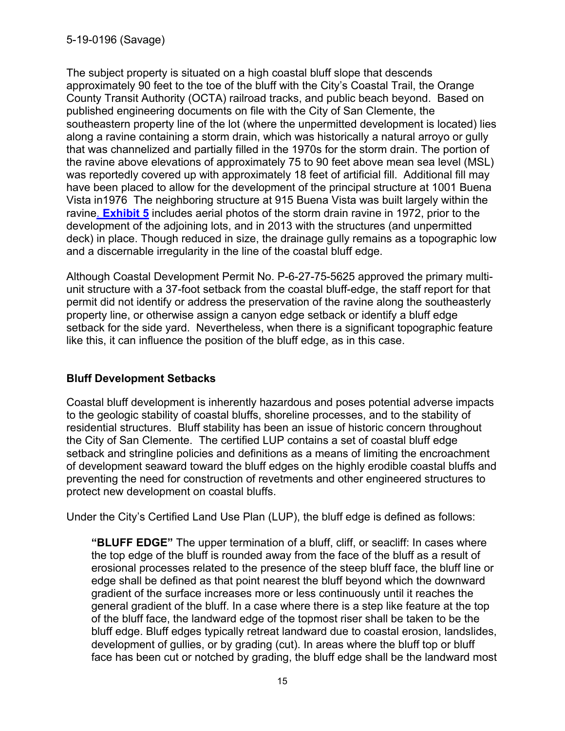The subject property is situated on a high coastal bluff slope that descends approximately 90 feet to the toe of the bluff with the City's Coastal Trail, the Orange County Transit Authority (OCTA) railroad tracks, and public beach beyond. Based on published engineering documents on file with the City of San Clemente, the southeastern property line of the lot (where the unpermitted development is located) lies along a ravine containing a storm drain, which was historically a natural arroyo or gully that was channelized and partially filled in the 1970s for the storm drain. The portion of the ravine above elevations of approximately 75 to 90 feet above mean sea level (MSL) was reportedly covered up with approximately 18 feet of artificial fill. Additional fill may have been placed to allow for the development of the principal structure at 1001 Buena Vista in1976 The neighboring structure at 915 Buena Vista was built largely within the ravine. **Exhibit 5** includes aerial photos of the storm drain ravine in 1972, prior to the development of the adjoining lots, and in 2013 with the structures (and unpermitted deck) in place. Though reduced in size, the drainage gully remains as a topographic low and a discernable irregularity in the line of the coastal bluff edge.

Although Coastal Development Permit No. P-6-27-75-5625 approved the primary multiunit structure with a 37-foot setback from the coastal bluff-edge, the staff report for that permit did not identify or address the preservation of the ravine along the southeasterly property line, or otherwise assign a canyon edge setback or identify a bluff edge setback for the side yard. Nevertheless, when there is a significant topographic feature like this, it can influence the position of the bluff edge, as in this case.

#### **Bluff Development Setbacks**

Coastal bluff development is inherently hazardous and poses potential adverse impacts to the geologic stability of coastal bluffs, shoreline processes, and to the stability of residential structures. Bluff stability has been an issue of historic concern throughout the City of San Clemente. The certified LUP contains a set of coastal bluff edge setback and stringline policies and definitions as a means of limiting the encroachment of development seaward toward the bluff edges on the highly erodible coastal bluffs and preventing the need for construction of revetments and other engineered structures to protect new development on coastal bluffs.

Under the City's Certified Land Use Plan (LUP), the bluff edge is defined as follows:

**"BLUFF EDGE"** The upper termination of a bluff, cliff, or seacliff: In cases where the top edge of the bluff is rounded away from the face of the bluff as a result of erosional processes related to the presence of the steep bluff face, the bluff line or edge shall be defined as that point nearest the bluff beyond which the downward gradient of the surface increases more or less continuously until it reaches the general gradient of the bluff. In a case where there is a step like feature at the top of the bluff face, the landward edge of the topmost riser shall be taken to be the bluff edge. Bluff edges typically retreat landward due to coastal erosion, landslides, development of gullies, or by grading (cut). In areas where the bluff top or bluff face has been cut or notched by grading, the bluff edge shall be the landward most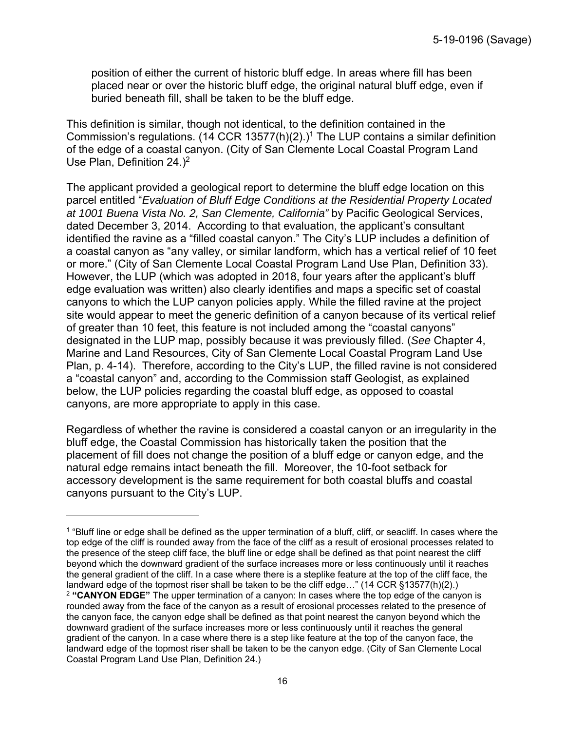position of either the current of historic bluff edge. In areas where fill has been placed near or over the historic bluff edge, the original natural bluff edge, even if buried beneath fill, shall be taken to be the bluff edge.

This definition is similar, though not identical, to the definition contained in the Commission's regulations. (14 CCR 13577(h)(2).)<sup>1</sup> The LUP contains a similar definition of the edge of a coastal canyon. (City of San Clemente Local Coastal Program Land Use Plan, Definition 24.)<sup>2</sup>

The applicant provided a geological report to determine the bluff edge location on this parcel entitled "*Evaluation of Bluff Edge Conditions at the Residential Property Located at 1001 Buena Vista No. 2, San Clemente, California"* by Pacific Geological Services, dated December 3, 2014. According to that evaluation, the applicant's consultant identified the ravine as a "filled coastal canyon." The City's LUP includes a definition of a coastal canyon as "any valley, or similar landform, which has a vertical relief of 10 feet or more." (City of San Clemente Local Coastal Program Land Use Plan, Definition 33). However, the LUP (which was adopted in 2018, four years after the applicant's bluff edge evaluation was written) also clearly identifies and maps a specific set of coastal canyons to which the LUP canyon policies apply. While the filled ravine at the project site would appear to meet the generic definition of a canyon because of its vertical relief of greater than 10 feet, this feature is not included among the "coastal canyons" designated in the LUP map, possibly because it was previously filled. (*See* Chapter 4, Marine and Land Resources, City of San Clemente Local Coastal Program Land Use Plan, p. 4-14). Therefore, according to the City's LUP, the filled ravine is not considered a "coastal canyon" and, according to the Commission staff Geologist, as explained below, the LUP policies regarding the coastal bluff edge, as opposed to coastal canyons, are more appropriate to apply in this case.

Regardless of whether the ravine is considered a coastal canyon or an irregularity in the bluff edge, the Coastal Commission has historically taken the position that the placement of fill does not change the position of a bluff edge or canyon edge, and the natural edge remains intact beneath the fill. Moreover, the 10-foot setback for accessory development is the same requirement for both coastal bluffs and coastal canyons pursuant to the City's LUP.

1

<sup>&</sup>lt;sup>1</sup> "Bluff line or edge shall be defined as the upper termination of a bluff, cliff, or seacliff. In cases where the top edge of the cliff is rounded away from the face of the cliff as a result of erosional processes related to the presence of the steep cliff face, the bluff line or edge shall be defined as that point nearest the cliff beyond which the downward gradient of the surface increases more or less continuously until it reaches the general gradient of the cliff. In a case where there is a steplike feature at the top of the cliff face, the landward edge of the topmost riser shall be taken to be the cliff edge…" (14 CCR §13577(h)(2).) <sup>2</sup> **"CANYON EDGE"** The upper termination of a canyon: In cases where the top edge of the canyon is rounded away from the face of the canyon as a result of erosional processes related to the presence of the canyon face, the canyon edge shall be defined as that point nearest the canyon beyond which the downward gradient of the surface increases more or less continuously until it reaches the general gradient of the canyon. In a case where there is a step like feature at the top of the canyon face, the landward edge of the topmost riser shall be taken to be the canyon edge. (City of San Clemente Local Coastal Program Land Use Plan, Definition 24.)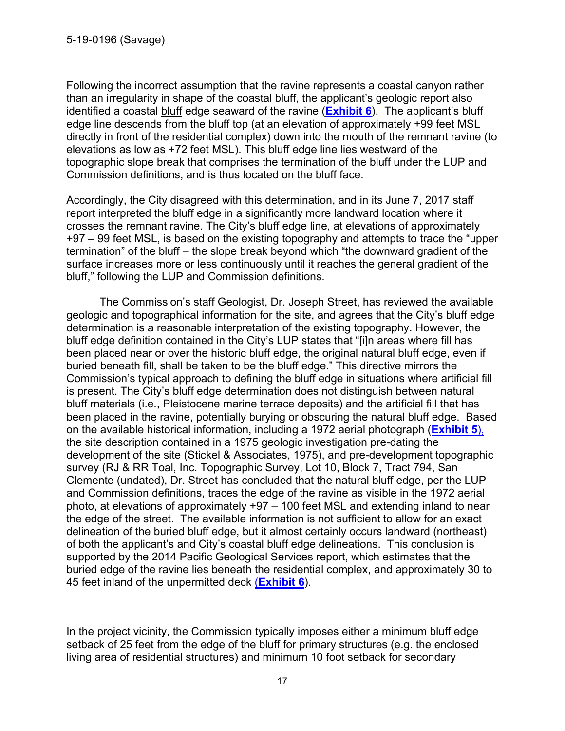Following the incorrect assumption that the ravine represents a coastal canyon rather than an irregularity in shape of the coastal bluff, the applicant's geologic report also identified a coastal bluff edge seaward of the ravine (**Exhibit 6**). The applicant's bluff edge line descends from the bluff top (at an elevation of approximately +99 feet MSL directly in front of the residential complex) down into the mouth of the remnant ravine (to elevations as low as +72 feet MSL). This bluff edge line lies westward of the topographic slope break that comprises the termination of the bluff under the LUP and Commission definitions, and is thus located on the bluff face.

Accordingly, the City disagreed with this determination, and in its June 7, 2017 staff report interpreted the bluff edge in a significantly more landward location where it crosses the remnant ravine. The City's bluff edge line, at elevations of approximately +97 – 99 feet MSL, is based on the existing topography and attempts to trace the "upper termination" of the bluff – the slope break beyond which "the downward gradient of the surface increases more or less continuously until it reaches the general gradient of the bluff," following the LUP and Commission definitions.

The Commission's staff Geologist, Dr. Joseph Street, has reviewed the available geologic and topographical information for the site, and agrees that the City's bluff edge determination is a reasonable interpretation of the existing topography. However, the bluff edge definition contained in the City's LUP states that "[i]n areas where fill has been placed near or over the historic bluff edge, the original natural bluff edge, even if buried beneath fill, shall be taken to be the bluff edge." This directive mirrors the Commission's typical approach to defining the bluff edge in situations where artificial fill is present. The City's bluff edge determination does not distinguish between natural bluff materials (i.e., Pleistocene marine terrace deposits) and the artificial fill that has been placed in the ravine, potentially burying or obscuring the natural bluff edge. Based on the available historical information, including a 1972 aerial photograph (**Exhibit 5**), the site description contained in a 1975 geologic investigation pre-dating the development of the site (Stickel & Associates, 1975), and pre-development topographic survey (RJ & RR Toal, Inc. Topographic Survey, Lot 10, Block 7, Tract 794, San Clemente (undated), Dr. Street has concluded that the natural bluff edge, per the LUP and Commission definitions, traces the edge of the ravine as visible in the 1972 aerial photo, at elevations of approximately +97 – 100 feet MSL and extending inland to near the edge of the street. The available information is not sufficient to allow for an exact delineation of the buried bluff edge, but it almost certainly occurs landward (northeast) of both the applicant's and City's coastal bluff edge delineations. This conclusion is supported by the 2014 Pacific Geological Services report, which estimates that the buried edge of the ravine lies beneath the residential complex, and approximately 30 to 45 feet inland of the unpermitted deck (**Exhibit 6**).

In the project vicinity, the Commission typically imposes either a minimum bluff edge setback of 25 feet from the edge of the bluff for primary structures (e.g. the enclosed living area of residential structures) and minimum 10 foot setback for secondary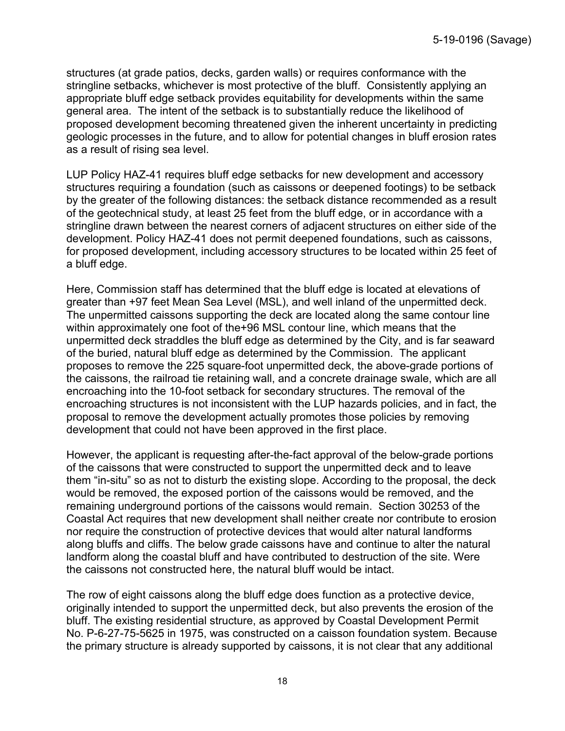structures (at grade patios, decks, garden walls) or requires conformance with the stringline setbacks, whichever is most protective of the bluff. Consistently applying an appropriate bluff edge setback provides equitability for developments within the same general area. The intent of the setback is to substantially reduce the likelihood of proposed development becoming threatened given the inherent uncertainty in predicting geologic processes in the future, and to allow for potential changes in bluff erosion rates as a result of rising sea level.

LUP Policy HAZ-41 requires bluff edge setbacks for new development and accessory structures requiring a foundation (such as caissons or deepened footings) to be setback by the greater of the following distances: the setback distance recommended as a result of the geotechnical study, at least 25 feet from the bluff edge, or in accordance with a stringline drawn between the nearest corners of adjacent structures on either side of the development. Policy HAZ-41 does not permit deepened foundations, such as caissons, for proposed development, including accessory structures to be located within 25 feet of a bluff edge.

Here, Commission staff has determined that the bluff edge is located at elevations of greater than +97 feet Mean Sea Level (MSL), and well inland of the unpermitted deck. The unpermitted caissons supporting the deck are located along the same contour line within approximately one foot of the+96 MSL contour line, which means that the unpermitted deck straddles the bluff edge as determined by the City, and is far seaward of the buried, natural bluff edge as determined by the Commission. The applicant proposes to remove the 225 square-foot unpermitted deck, the above-grade portions of the caissons, the railroad tie retaining wall, and a concrete drainage swale, which are all encroaching into the 10-foot setback for secondary structures. The removal of the encroaching structures is not inconsistent with the LUP hazards policies, and in fact, the proposal to remove the development actually promotes those policies by removing development that could not have been approved in the first place.

However, the applicant is requesting after-the-fact approval of the below-grade portions of the caissons that were constructed to support the unpermitted deck and to leave them "in-situ" so as not to disturb the existing slope. According to the proposal, the deck would be removed, the exposed portion of the caissons would be removed, and the remaining underground portions of the caissons would remain. Section 30253 of the Coastal Act requires that new development shall neither create nor contribute to erosion nor require the construction of protective devices that would alter natural landforms along bluffs and cliffs. The below grade caissons have and continue to alter the natural landform along the coastal bluff and have contributed to destruction of the site. Were the caissons not constructed here, the natural bluff would be intact.

The row of eight caissons along the bluff edge does function as a protective device, originally intended to support the unpermitted deck, but also prevents the erosion of the bluff. The existing residential structure, as approved by Coastal Development Permit No. P-6-27-75-5625 in 1975, was constructed on a caisson foundation system. Because the primary structure is already supported by caissons, it is not clear that any additional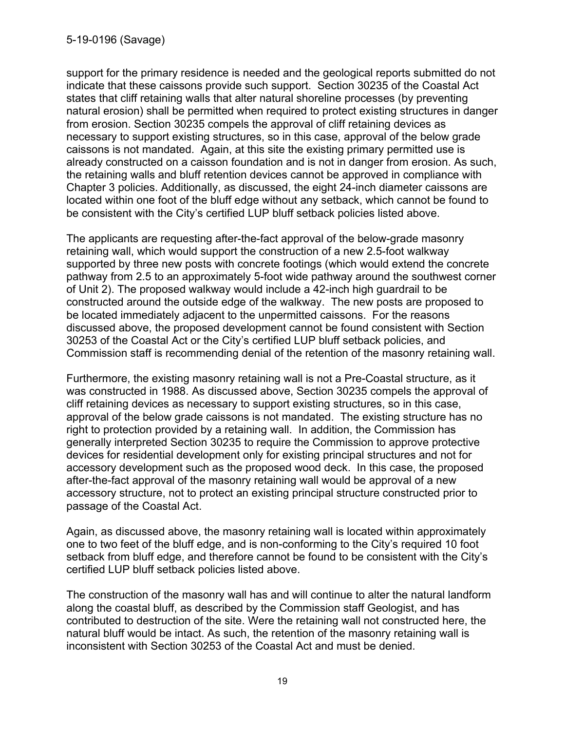support for the primary residence is needed and the geological reports submitted do not indicate that these caissons provide such support. Section 30235 of the Coastal Act states that cliff retaining walls that alter natural shoreline processes (by preventing natural erosion) shall be permitted when required to protect existing structures in danger from erosion. Section 30235 compels the approval of cliff retaining devices as necessary to support existing structures, so in this case, approval of the below grade caissons is not mandated. Again, at this site the existing primary permitted use is already constructed on a caisson foundation and is not in danger from erosion. As such, the retaining walls and bluff retention devices cannot be approved in compliance with Chapter 3 policies. Additionally, as discussed, the eight 24-inch diameter caissons are located within one foot of the bluff edge without any setback, which cannot be found to be consistent with the City's certified LUP bluff setback policies listed above.

The applicants are requesting after-the-fact approval of the below-grade masonry retaining wall, which would support the construction of a new 2.5-foot walkway supported by three new posts with concrete footings (which would extend the concrete pathway from 2.5 to an approximately 5-foot wide pathway around the southwest corner of Unit 2). The proposed walkway would include a 42-inch high guardrail to be constructed around the outside edge of the walkway. The new posts are proposed to be located immediately adjacent to the unpermitted caissons. For the reasons discussed above, the proposed development cannot be found consistent with Section 30253 of the Coastal Act or the City's certified LUP bluff setback policies, and Commission staff is recommending denial of the retention of the masonry retaining wall.

Furthermore, the existing masonry retaining wall is not a Pre-Coastal structure, as it was constructed in 1988. As discussed above, Section 30235 compels the approval of cliff retaining devices as necessary to support existing structures, so in this case, approval of the below grade caissons is not mandated. The existing structure has no right to protection provided by a retaining wall. In addition, the Commission has generally interpreted Section 30235 to require the Commission to approve protective devices for residential development only for existing principal structures and not for accessory development such as the proposed wood deck. In this case, the proposed after-the-fact approval of the masonry retaining wall would be approval of a new accessory structure, not to protect an existing principal structure constructed prior to passage of the Coastal Act.

Again, as discussed above, the masonry retaining wall is located within approximately one to two feet of the bluff edge, and is non-conforming to the City's required 10 foot setback from bluff edge, and therefore cannot be found to be consistent with the City's certified LUP bluff setback policies listed above.

The construction of the masonry wall has and will continue to alter the natural landform along the coastal bluff, as described by the Commission staff Geologist, and has contributed to destruction of the site. Were the retaining wall not constructed here, the natural bluff would be intact. As such, the retention of the masonry retaining wall is inconsistent with Section 30253 of the Coastal Act and must be denied.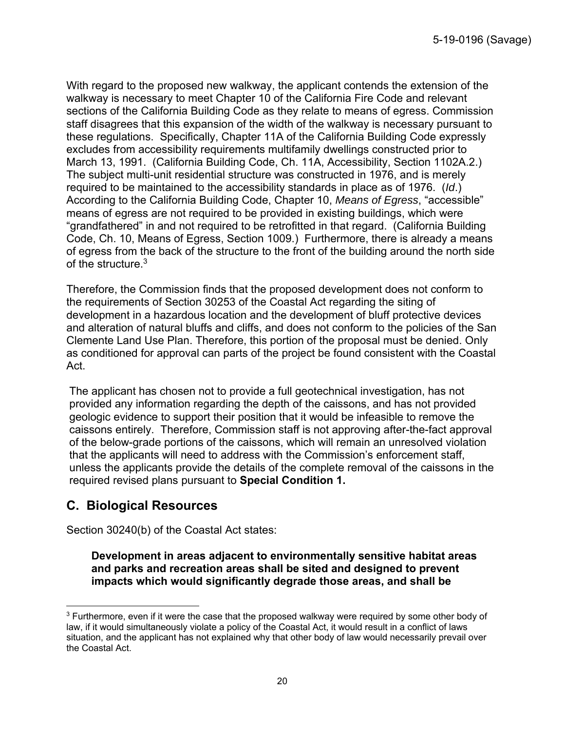With regard to the proposed new walkway, the applicant contends the extension of the walkway is necessary to meet Chapter 10 of the California Fire Code and relevant sections of the California Building Code as they relate to means of egress. Commission staff disagrees that this expansion of the width of the walkway is necessary pursuant to these regulations. Specifically, Chapter 11A of the California Building Code expressly excludes from accessibility requirements multifamily dwellings constructed prior to March 13, 1991. (California Building Code, Ch. 11A, Accessibility, Section 1102A.2.) The subject multi-unit residential structure was constructed in 1976, and is merely required to be maintained to the accessibility standards in place as of 1976. (*Id*.) According to the California Building Code, Chapter 10, *Means of Egress*, "accessible" means of egress are not required to be provided in existing buildings, which were "grandfathered" in and not required to be retrofitted in that regard. (California Building Code, Ch. 10, Means of Egress, Section 1009.) Furthermore, there is already a means of egress from the back of the structure to the front of the building around the north side of the structure.<sup>3</sup>

Therefore, the Commission finds that the proposed development does not conform to the requirements of Section 30253 of the Coastal Act regarding the siting of development in a hazardous location and the development of bluff protective devices and alteration of natural bluffs and cliffs, and does not conform to the policies of the San Clemente Land Use Plan. Therefore, this portion of the proposal must be denied. Only as conditioned for approval can parts of the project be found consistent with the Coastal Act.

The applicant has chosen not to provide a full geotechnical investigation, has not provided any information regarding the depth of the caissons, and has not provided geologic evidence to support their position that it would be infeasible to remove the caissons entirely. Therefore, Commission staff is not approving after-the-fact approval of the below-grade portions of the caissons, which will remain an unresolved violation that the applicants will need to address with the Commission's enforcement staff, unless the applicants provide the details of the complete removal of the caissons in the required revised plans pursuant to **Special Condition 1.**

## **C. Biological Resources**

Section 30240(b) of the Coastal Act states:

**Development in areas adjacent to environmentally sensitive habitat areas and parks and recreation areas shall be sited and designed to prevent impacts which would significantly degrade those areas, and shall be** 

 $\overline{a}$  $3$  Furthermore, even if it were the case that the proposed walkway were required by some other body of law, if it would simultaneously violate a policy of the Coastal Act, it would result in a conflict of laws situation, and the applicant has not explained why that other body of law would necessarily prevail over the Coastal Act.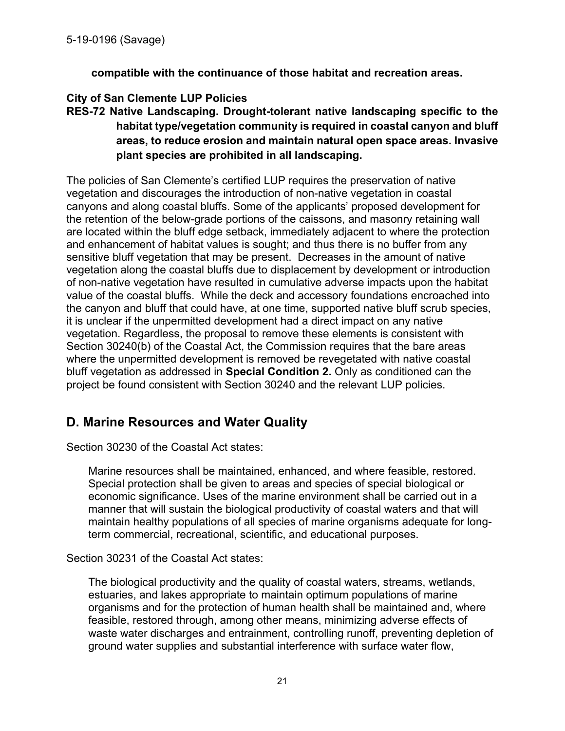**compatible with the continuance of those habitat and recreation areas.** 

#### **City of San Clemente LUP Policies**

**RES-72 Native Landscaping. Drought-tolerant native landscaping specific to the habitat type/vegetation community is required in coastal canyon and bluff areas, to reduce erosion and maintain natural open space areas. Invasive plant species are prohibited in all landscaping.** 

The policies of San Clemente's certified LUP requires the preservation of native vegetation and discourages the introduction of non-native vegetation in coastal canyons and along coastal bluffs. Some of the applicants' proposed development for the retention of the below-grade portions of the caissons, and masonry retaining wall are located within the bluff edge setback, immediately adjacent to where the protection and enhancement of habitat values is sought; and thus there is no buffer from any sensitive bluff vegetation that may be present. Decreases in the amount of native vegetation along the coastal bluffs due to displacement by development or introduction of non-native vegetation have resulted in cumulative adverse impacts upon the habitat value of the coastal bluffs. While the deck and accessory foundations encroached into the canyon and bluff that could have, at one time, supported native bluff scrub species, it is unclear if the unpermitted development had a direct impact on any native vegetation. Regardless, the proposal to remove these elements is consistent with Section 30240(b) of the Coastal Act, the Commission requires that the bare areas where the unpermitted development is removed be revegetated with native coastal bluff vegetation as addressed in **Special Condition 2.** Only as conditioned can the project be found consistent with Section 30240 and the relevant LUP policies.

## **D. Marine Resources and Water Quality**

Section 30230 of the Coastal Act states:

Marine resources shall be maintained, enhanced, and where feasible, restored. Special protection shall be given to areas and species of special biological or economic significance. Uses of the marine environment shall be carried out in a manner that will sustain the biological productivity of coastal waters and that will maintain healthy populations of all species of marine organisms adequate for longterm commercial, recreational, scientific, and educational purposes.

Section 30231 of the Coastal Act states:

The biological productivity and the quality of coastal waters, streams, wetlands, estuaries, and lakes appropriate to maintain optimum populations of marine organisms and for the protection of human health shall be maintained and, where feasible, restored through, among other means, minimizing adverse effects of waste water discharges and entrainment, controlling runoff, preventing depletion of ground water supplies and substantial interference with surface water flow,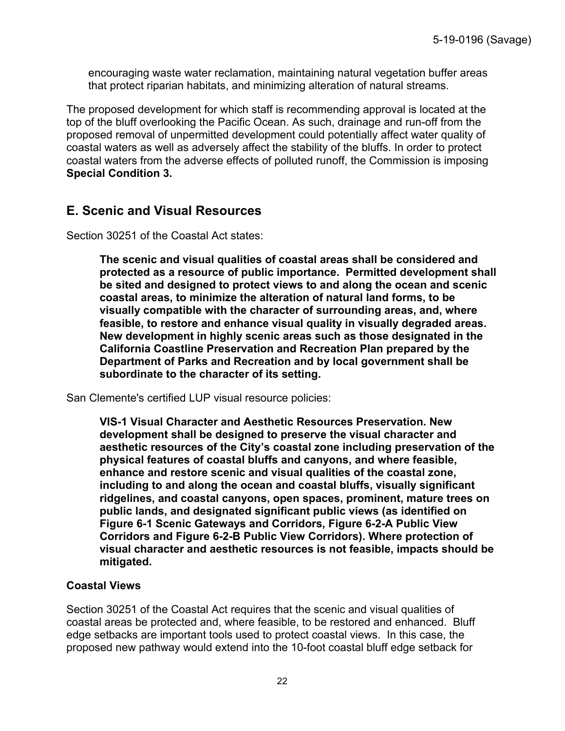encouraging waste water reclamation, maintaining natural vegetation buffer areas that protect riparian habitats, and minimizing alteration of natural streams.

The proposed development for which staff is recommending approval is located at the top of the bluff overlooking the Pacific Ocean. As such, drainage and run-off from the proposed removal of unpermitted development could potentially affect water quality of coastal waters as well as adversely affect the stability of the bluffs. In order to protect coastal waters from the adverse effects of polluted runoff, the Commission is imposing **Special Condition 3.**

### **E. Scenic and Visual Resources**

Section 30251 of the Coastal Act states:

**The scenic and visual qualities of coastal areas shall be considered and protected as a resource of public importance. Permitted development shall be sited and designed to protect views to and along the ocean and scenic coastal areas, to minimize the alteration of natural land forms, to be visually compatible with the character of surrounding areas, and, where feasible, to restore and enhance visual quality in visually degraded areas. New development in highly scenic areas such as those designated in the California Coastline Preservation and Recreation Plan prepared by the Department of Parks and Recreation and by local government shall be subordinate to the character of its setting.** 

San Clemente's certified LUP visual resource policies:

**VIS-1 Visual Character and Aesthetic Resources Preservation. New development shall be designed to preserve the visual character and aesthetic resources of the City's coastal zone including preservation of the physical features of coastal bluffs and canyons, and where feasible, enhance and restore scenic and visual qualities of the coastal zone, including to and along the ocean and coastal bluffs, visually significant ridgelines, and coastal canyons, open spaces, prominent, mature trees on public lands, and designated significant public views (as identified on Figure 6-1 Scenic Gateways and Corridors, Figure 6-2-A Public View Corridors and Figure 6-2-B Public View Corridors). Where protection of visual character and aesthetic resources is not feasible, impacts should be mitigated.** 

#### **Coastal Views**

Section 30251 of the Coastal Act requires that the scenic and visual qualities of coastal areas be protected and, where feasible, to be restored and enhanced. Bluff edge setbacks are important tools used to protect coastal views. In this case, the proposed new pathway would extend into the 10-foot coastal bluff edge setback for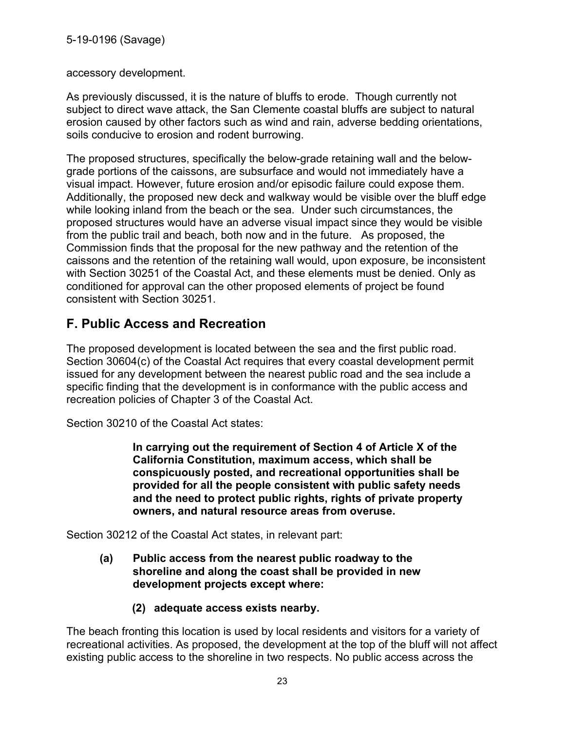5-19-0196 (Savage)

accessory development.

As previously discussed, it is the nature of bluffs to erode. Though currently not subject to direct wave attack, the San Clemente coastal bluffs are subject to natural erosion caused by other factors such as wind and rain, adverse bedding orientations, soils conducive to erosion and rodent burrowing.

The proposed structures, specifically the below-grade retaining wall and the belowgrade portions of the caissons, are subsurface and would not immediately have a visual impact. However, future erosion and/or episodic failure could expose them. Additionally, the proposed new deck and walkway would be visible over the bluff edge while looking inland from the beach or the sea. Under such circumstances, the proposed structures would have an adverse visual impact since they would be visible from the public trail and beach, both now and in the future. As proposed, the Commission finds that the proposal for the new pathway and the retention of the caissons and the retention of the retaining wall would, upon exposure, be inconsistent with Section 30251 of the Coastal Act, and these elements must be denied. Only as conditioned for approval can the other proposed elements of project be found consistent with Section 30251.

## **F. Public Access and Recreation**

The proposed development is located between the sea and the first public road. Section 30604(c) of the Coastal Act requires that every coastal development permit issued for any development between the nearest public road and the sea include a specific finding that the development is in conformance with the public access and recreation policies of Chapter 3 of the Coastal Act.

Section 30210 of the Coastal Act states:

**In carrying out the requirement of Section 4 of Article X of the California Constitution, maximum access, which shall be conspicuously posted, and recreational opportunities shall be provided for all the people consistent with public safety needs and the need to protect public rights, rights of private property owners, and natural resource areas from overuse.** 

Section 30212 of the Coastal Act states, in relevant part:

- **(a) Public access from the nearest public roadway to the shoreline and along the coast shall be provided in new development projects except where:** 
	- **(2) adequate access exists nearby.**

The beach fronting this location is used by local residents and visitors for a variety of recreational activities. As proposed, the development at the top of the bluff will not affect existing public access to the shoreline in two respects. No public access across the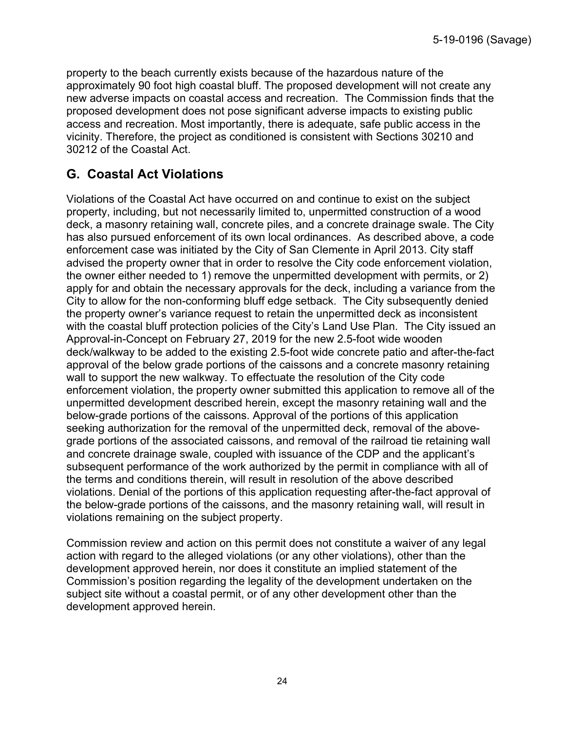property to the beach currently exists because of the hazardous nature of the approximately 90 foot high coastal bluff. The proposed development will not create any new adverse impacts on coastal access and recreation. The Commission finds that the proposed development does not pose significant adverse impacts to existing public access and recreation. Most importantly, there is adequate, safe public access in the vicinity. Therefore, the project as conditioned is consistent with Sections 30210 and 30212 of the Coastal Act.

## **G. Coastal Act Violations**

Violations of the Coastal Act have occurred on and continue to exist on the subject property, including, but not necessarily limited to, unpermitted construction of a wood deck, a masonry retaining wall, concrete piles, and a concrete drainage swale. The City has also pursued enforcement of its own local ordinances. As described above, a code enforcement case was initiated by the City of San Clemente in April 2013. City staff advised the property owner that in order to resolve the City code enforcement violation, the owner either needed to 1) remove the unpermitted development with permits, or 2) apply for and obtain the necessary approvals for the deck, including a variance from the City to allow for the non-conforming bluff edge setback. The City subsequently denied the property owner's variance request to retain the unpermitted deck as inconsistent with the coastal bluff protection policies of the City's Land Use Plan. The City issued an Approval-in-Concept on February 27, 2019 for the new 2.5-foot wide wooden deck/walkway to be added to the existing 2.5-foot wide concrete patio and after-the-fact approval of the below grade portions of the caissons and a concrete masonry retaining wall to support the new walkway. To effectuate the resolution of the City code enforcement violation, the property owner submitted this application to remove all of the unpermitted development described herein, except the masonry retaining wall and the below-grade portions of the caissons. Approval of the portions of this application seeking authorization for the removal of the unpermitted deck, removal of the abovegrade portions of the associated caissons, and removal of the railroad tie retaining wall and concrete drainage swale, coupled with issuance of the CDP and the applicant's subsequent performance of the work authorized by the permit in compliance with all of the terms and conditions therein, will result in resolution of the above described violations. Denial of the portions of this application requesting after-the-fact approval of the below-grade portions of the caissons, and the masonry retaining wall, will result in violations remaining on the subject property.

Commission review and action on this permit does not constitute a waiver of any legal action with regard to the alleged violations (or any other violations), other than the development approved herein, nor does it constitute an implied statement of the Commission's position regarding the legality of the development undertaken on the subject site without a coastal permit, or of any other development other than the development approved herein.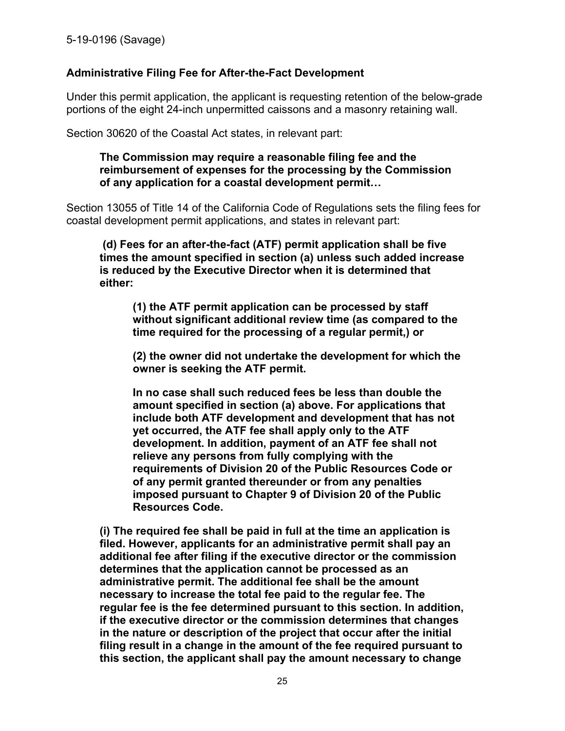#### **Administrative Filing Fee for After-the-Fact Development**

Under this permit application, the applicant is requesting retention of the below-grade portions of the eight 24-inch unpermitted caissons and a masonry retaining wall.

Section 30620 of the Coastal Act states, in relevant part:

#### **The Commission may require a reasonable filing fee and the reimbursement of expenses for the processing by the Commission of any application for a coastal development permit…**

Section 13055 of Title 14 of the California Code of Regulations sets the filing fees for coastal development permit applications, and states in relevant part:

**(d) Fees for an after-the-fact (ATF) permit application shall be five times the amount specified in section (a) unless such added increase is reduced by the Executive Director when it is determined that either:** 

**(1) the ATF permit application can be processed by staff without significant additional review time (as compared to the time required for the processing of a regular permit,) or** 

**(2) the owner did not undertake the development for which the owner is seeking the ATF permit.** 

**In no case shall such reduced fees be less than double the amount specified in section (a) above. For applications that include both ATF development and development that has not yet occurred, the ATF fee shall apply only to the ATF development. In addition, payment of an ATF fee shall not relieve any persons from fully complying with the requirements of Division 20 of the Public Resources Code or of any permit granted thereunder or from any penalties imposed pursuant to Chapter 9 of Division 20 of the Public Resources Code.** 

**(i) The required fee shall be paid in full at the time an application is filed. However, applicants for an administrative permit shall pay an additional fee after filing if the executive director or the commission determines that the application cannot be processed as an administrative permit. The additional fee shall be the amount necessary to increase the total fee paid to the regular fee. The regular fee is the fee determined pursuant to this section. In addition, if the executive director or the commission determines that changes in the nature or description of the project that occur after the initial filing result in a change in the amount of the fee required pursuant to this section, the applicant shall pay the amount necessary to change**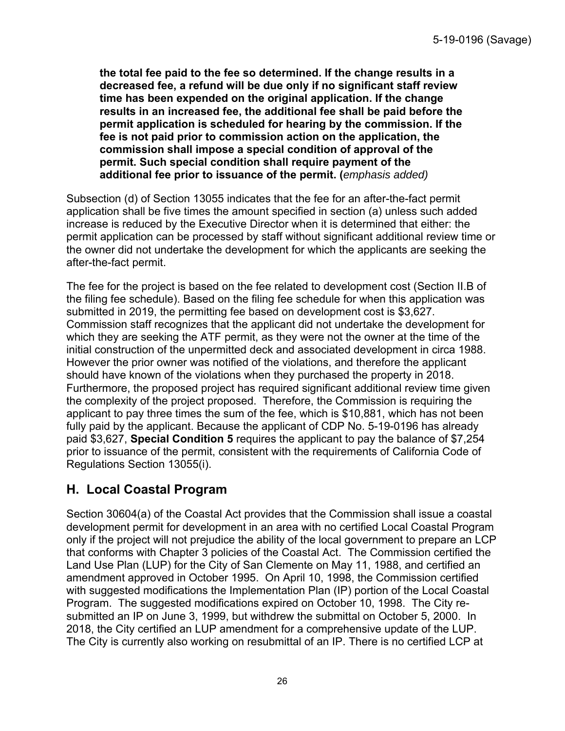**the total fee paid to the fee so determined. If the change results in a decreased fee, a refund will be due only if no significant staff review time has been expended on the original application. If the change results in an increased fee, the additional fee shall be paid before the permit application is scheduled for hearing by the commission. If the fee is not paid prior to commission action on the application, the commission shall impose a special condition of approval of the permit. Such special condition shall require payment of the additional fee prior to issuance of the permit. (***emphasis added)*

Subsection (d) of Section 13055 indicates that the fee for an after-the-fact permit application shall be five times the amount specified in section (a) unless such added increase is reduced by the Executive Director when it is determined that either: the permit application can be processed by staff without significant additional review time or the owner did not undertake the development for which the applicants are seeking the after-the-fact permit.

The fee for the project is based on the fee related to development cost (Section II.B of the filing fee schedule). Based on the filing fee schedule for when this application was submitted in 2019, the permitting fee based on development cost is \$3,627. Commission staff recognizes that the applicant did not undertake the development for which they are seeking the ATF permit, as they were not the owner at the time of the initial construction of the unpermitted deck and associated development in circa 1988. However the prior owner was notified of the violations, and therefore the applicant should have known of the violations when they purchased the property in 2018. Furthermore, the proposed project has required significant additional review time given the complexity of the project proposed. Therefore, the Commission is requiring the applicant to pay three times the sum of the fee, which is \$10,881, which has not been fully paid by the applicant. Because the applicant of CDP No. 5-19-0196 has already paid \$3,627, **Special Condition 5** requires the applicant to pay the balance of \$7,254 prior to issuance of the permit, consistent with the requirements of California Code of Regulations Section 13055(i).

## **H. Local Coastal Program**

Section 30604(a) of the Coastal Act provides that the Commission shall issue a coastal development permit for development in an area with no certified Local Coastal Program only if the project will not prejudice the ability of the local government to prepare an LCP that conforms with Chapter 3 policies of the Coastal Act. The Commission certified the Land Use Plan (LUP) for the City of San Clemente on May 11, 1988, and certified an amendment approved in October 1995. On April 10, 1998, the Commission certified with suggested modifications the Implementation Plan (IP) portion of the Local Coastal Program. The suggested modifications expired on October 10, 1998. The City resubmitted an IP on June 3, 1999, but withdrew the submittal on October 5, 2000. In 2018, the City certified an LUP amendment for a comprehensive update of the LUP. The City is currently also working on resubmittal of an IP. There is no certified LCP at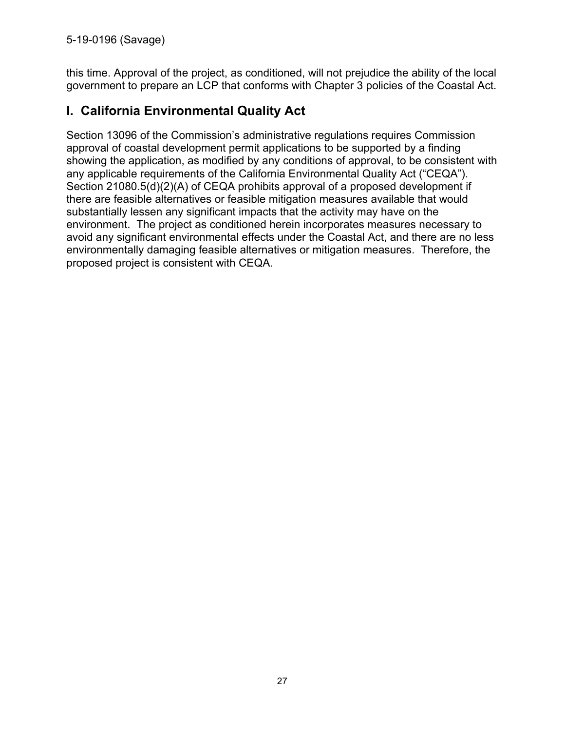5-19-0196 (Savage)

this time. Approval of the project, as conditioned, will not prejudice the ability of the local government to prepare an LCP that conforms with Chapter 3 policies of the Coastal Act.

## **I. California Environmental Quality Act**

Section 13096 of the Commission's administrative regulations requires Commission approval of coastal development permit applications to be supported by a finding showing the application, as modified by any conditions of approval, to be consistent with any applicable requirements of the California Environmental Quality Act ("CEQA"). Section 21080.5(d)(2)(A) of CEQA prohibits approval of a proposed development if there are feasible alternatives or feasible mitigation measures available that would substantially lessen any significant impacts that the activity may have on the environment. The project as conditioned herein incorporates measures necessary to avoid any significant environmental effects under the Coastal Act, and there are no less environmentally damaging feasible alternatives or mitigation measures. Therefore, the proposed project is consistent with CEQA.